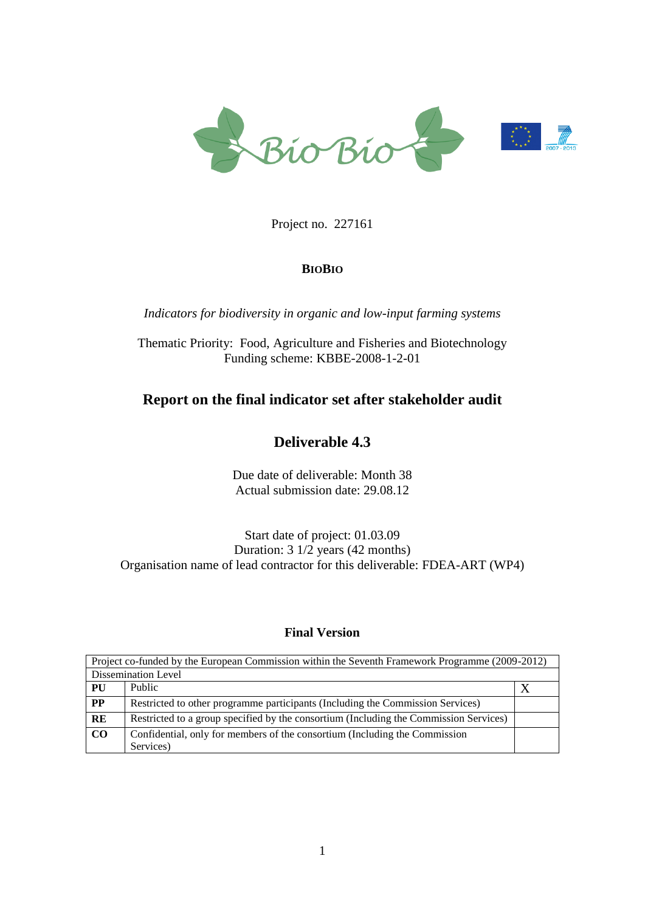

Project no. 227161

### **BIOBIO**

*Indicators for biodiversity in organic and low-input farming systems*

Thematic Priority: Food, Agriculture and Fisheries and Biotechnology Funding scheme: KBBE-2008-1-2-01

# **Report on the final indicator set after stakeholder audit**

# **Deliverable 4.3**

Due date of deliverable: Month 38 Actual submission date: 29.08.12

Start date of project: 01.03.09 Duration: 3 1/2 years (42 months) Organisation name of lead contractor for this deliverable: FDEA-ART (WP4)

### **Final Version**

| Project co-funded by the European Commission within the Seventh Framework Programme (2009-2012) |                                                                                       |  |  |  |  |  |
|-------------------------------------------------------------------------------------------------|---------------------------------------------------------------------------------------|--|--|--|--|--|
| Dissemination Level                                                                             |                                                                                       |  |  |  |  |  |
| PU                                                                                              | Public                                                                                |  |  |  |  |  |
| $\bf PP$                                                                                        | Restricted to other programme participants (Including the Commission Services)        |  |  |  |  |  |
| RE                                                                                              | Restricted to a group specified by the consortium (Including the Commission Services) |  |  |  |  |  |
| CO                                                                                              | Confidential, only for members of the consortium (Including the Commission            |  |  |  |  |  |
|                                                                                                 | Services)                                                                             |  |  |  |  |  |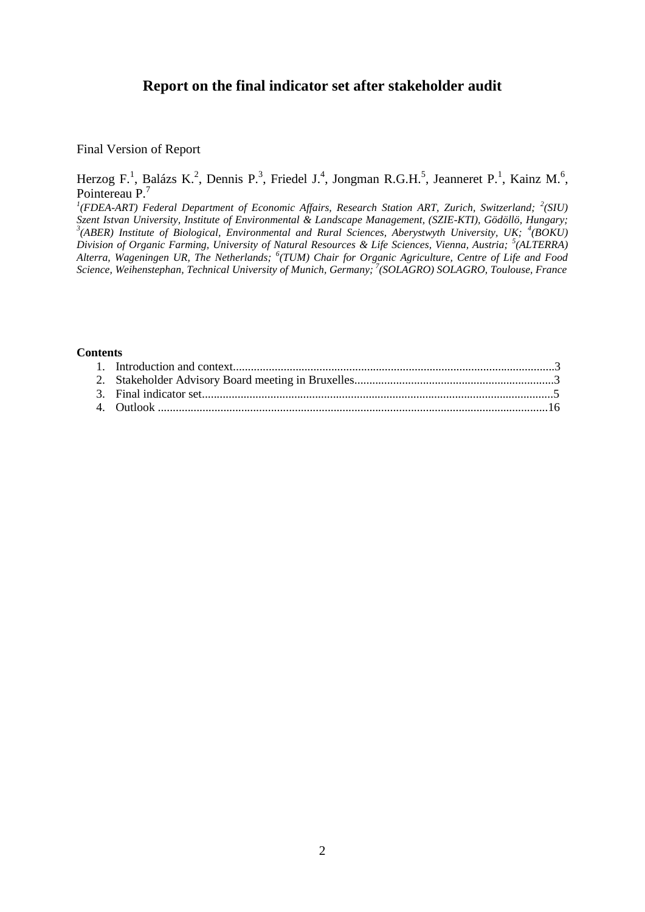### **Report on the final indicator set after stakeholder audit**

Final Version of Report

Herzog F.<sup>1</sup>, Balázs K.<sup>2</sup>, Dennis P.<sup>3</sup>, Friedel J.<sup>4</sup>, Jongman R.G.H.<sup>5</sup>, Jeanneret P.<sup>1</sup>, Kainz M.<sup>6</sup>, Pointereau P.<sup>7</sup>

<sup>1</sup>(FDEA-ART) Federal Department of Economic Affairs, Research Station ART, Zurich, Switzerland; <sup>2</sup>(SIU) *Szent Istvan University, Institute of Environmental & Landscape Management, (SZIE-KTI), Gödöllö, Hungary;*  <sup>3</sup>(ABER) Institute of Biological, Environmental and Rural Sciences, Aberystwyth University, UK; <sup>4</sup>(BOKU) *Division of Organic Farming, University of Natural Resources & Life Sciences, Vienna, Austria; <sup>5</sup> (ALTERRA) Alterra, Wageningen UR, The Netherlands; <sup>6</sup> (TUM) Chair for Organic Agriculture, Centre of Life and Food Science, Weihenstephan, Technical University of Munich, Germany; <sup>7</sup> (SOLAGRO) SOLAGRO, Toulouse, France*

#### **Contents**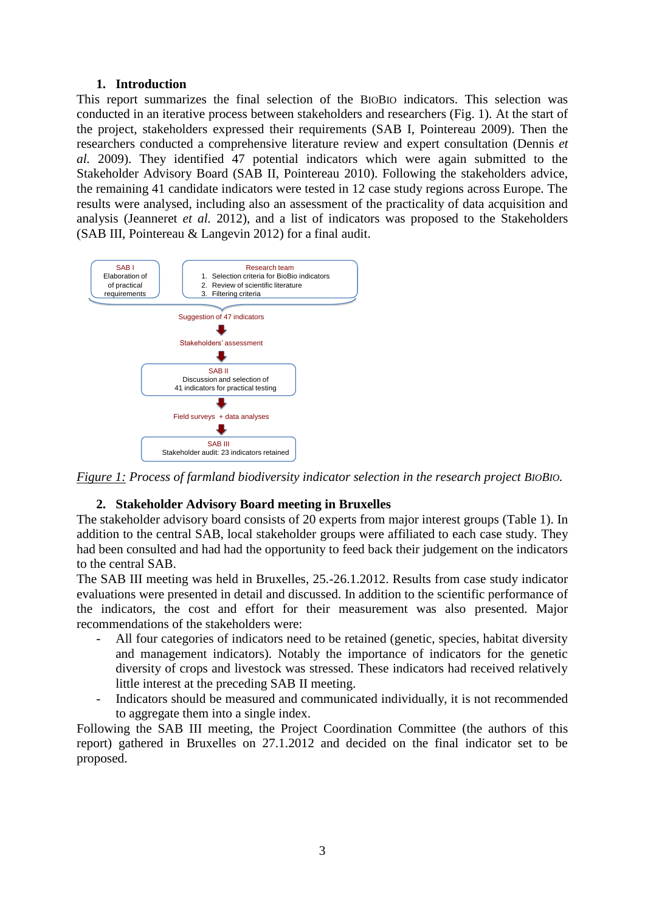#### **1. Introduction**

This report summarizes the final selection of the BIOBIO indicators. This selection was conducted in an iterative process between stakeholders and researchers (Fig. 1). At the start of the project, stakeholders expressed their requirements (SAB I, Pointereau 2009). Then the researchers conducted a comprehensive literature review and expert consultation (Dennis *et al.* 2009). They identified 47 potential indicators which were again submitted to the Stakeholder Advisory Board (SAB II, Pointereau 2010). Following the stakeholders advice, the remaining 41 candidate indicators were tested in 12 case study regions across Europe. The results were analysed, including also an assessment of the practicality of data acquisition and analysis (Jeanneret *et al.* 2012), and a list of indicators was proposed to the Stakeholders (SAB III, Pointereau & Langevin 2012) for a final audit.



*Figure 1: Process of farmland biodiversity indicator selection in the research project BIOBIO.*

### **2. Stakeholder Advisory Board meeting in Bruxelles**

The stakeholder advisory board consists of 20 experts from major interest groups (Table 1). In addition to the central SAB, local stakeholder groups were affiliated to each case study. They had been consulted and had had the opportunity to feed back their judgement on the indicators to the central SAB.

The SAB III meeting was held in Bruxelles, 25.-26.1.2012. Results from case study indicator evaluations were presented in detail and discussed. In addition to the scientific performance of the indicators, the cost and effort for their measurement was also presented. Major recommendations of the stakeholders were:

- All four categories of indicators need to be retained (genetic, species, habitat diversity and management indicators). Notably the importance of indicators for the genetic diversity of crops and livestock was stressed. These indicators had received relatively little interest at the preceding SAB II meeting.
- Indicators should be measured and communicated individually, it is not recommended to aggregate them into a single index.

Following the SAB III meeting, the Project Coordination Committee (the authors of this report) gathered in Bruxelles on 27.1.2012 and decided on the final indicator set to be proposed.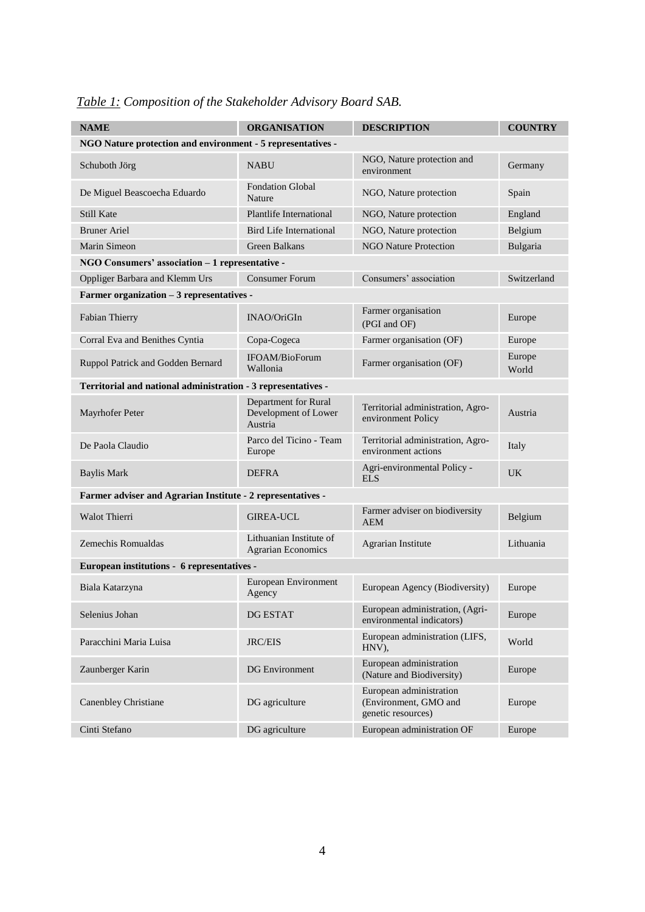| <b>NAME</b>                                                   | <b>ORGANISATION</b>                                     | <b>DESCRIPTION</b>                                                     | <b>COUNTRY</b>  |
|---------------------------------------------------------------|---------------------------------------------------------|------------------------------------------------------------------------|-----------------|
| NGO Nature protection and environment - 5 representatives -   |                                                         |                                                                        |                 |
| Schuboth Jörg                                                 | <b>NABU</b>                                             | NGO, Nature protection and<br>environment                              | Germany         |
| De Miguel Beascoecha Eduardo                                  | <b>Fondation Global</b><br>Nature                       | NGO, Nature protection                                                 | Spain           |
| <b>Still Kate</b>                                             | <b>Plantlife International</b>                          | NGO, Nature protection                                                 | England         |
| <b>Bruner Ariel</b>                                           | Bird Life International                                 | NGO, Nature protection                                                 | Belgium         |
| Marin Simeon                                                  | Green Balkans                                           | <b>NGO Nature Protection</b>                                           | Bulgaria        |
| NGO Consumers' association - 1 representative -               |                                                         |                                                                        |                 |
| Oppliger Barbara and Klemm Urs                                | <b>Consumer Forum</b>                                   | Consumers' association                                                 | Switzerland     |
| Farmer organization - 3 representatives -                     |                                                         |                                                                        |                 |
| Fabian Thierry                                                | INAO/OriGIn                                             | Farmer organisation<br>(PGI and OF)                                    | Europe          |
| Corral Eva and Benithes Cyntia                                | Copa-Cogeca                                             | Farmer organisation (OF)                                               | Europe          |
| Ruppol Patrick and Godden Bernard                             | IFOAM/BioForum<br>Wallonia                              | Farmer organisation (OF)                                               | Europe<br>World |
| Territorial and national administration - 3 representatives - |                                                         |                                                                        |                 |
| Mayrhofer Peter                                               | Department for Rural<br>Development of Lower<br>Austria | Territorial administration, Agro-<br>environment Policy                | Austria         |
| De Paola Claudio                                              | Parco del Ticino - Team<br>Europe                       | Territorial administration, Agro-<br>environment actions               | Italy           |
| <b>Baylis Mark</b>                                            | <b>DEFRA</b>                                            | Agri-environmental Policy -<br><b>ELS</b>                              | UK.             |
| Farmer adviser and Agrarian Institute - 2 representatives -   |                                                         |                                                                        |                 |
| Walot Thierri                                                 | <b>GIREA-UCL</b>                                        | Farmer adviser on biodiversity<br><b>AEM</b>                           | Belgium         |
| Zemechis Romualdas                                            | Lithuanian Institute of<br><b>Agrarian Economics</b>    | Agrarian Institute                                                     | Lithuania       |
| European institutions - 6 representatives -                   |                                                         |                                                                        |                 |
| Biala Katarzyna                                               | European Environment<br>Agency                          | European Agency (Biodiversity)                                         | Europe          |
| Selenius Johan                                                | DG ESTAT                                                | European administration, (Agri-<br>environmental indicators)           | Europe          |
| Paracchini Maria Luisa                                        | <b>JRC/EIS</b>                                          | European administration (LIFS,<br>HNV),                                | World           |
| Zaunberger Karin                                              | <b>DG</b> Environment                                   | European administration<br>(Nature and Biodiversity)                   | Europe          |
| Canenbley Christiane                                          | DG agriculture                                          | European administration<br>(Environment, GMO and<br>genetic resources) | Europe          |
| Cinti Stefano                                                 | DG agriculture                                          | European administration OF                                             | Europe          |

# *Table 1: Composition of the Stakeholder Advisory Board SAB.*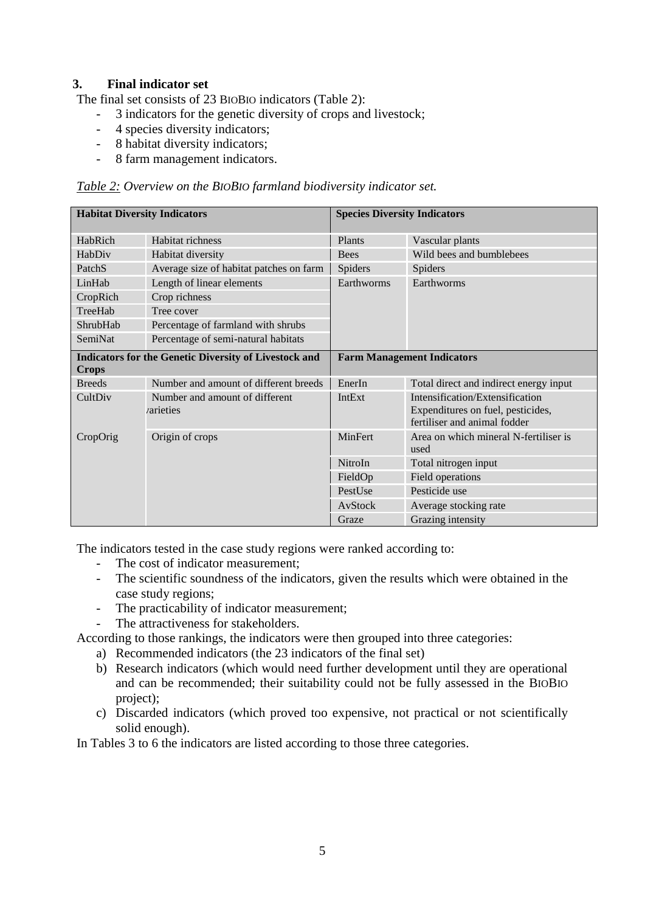### **3. Final indicator set**

The final set consists of 23 BIOBIO indicators (Table 2):

- 3 indicators for the genetic diversity of crops and livestock;
- 4 species diversity indicators;
- 8 habitat diversity indicators;
- 8 farm management indicators.

#### *Table 2: Overview on the BIOBIO farmland biodiversity indicator set.*

| <b>Habitat Diversity Indicators</b> |                                                              | <b>Species Diversity Indicators</b> |                                                                                                      |  |  |  |
|-------------------------------------|--------------------------------------------------------------|-------------------------------------|------------------------------------------------------------------------------------------------------|--|--|--|
| HabRich                             | Habitat richness                                             | Plants                              | Vascular plants                                                                                      |  |  |  |
| HabDiv                              | Habitat diversity                                            | <b>Bees</b>                         | Wild bees and bumblebees                                                                             |  |  |  |
| PatchS                              | Average size of habitat patches on farm                      | Spiders                             | Spiders                                                                                              |  |  |  |
| LinHab                              | Length of linear elements                                    | Earthworms                          | Earthworms                                                                                           |  |  |  |
| CropRich                            | Crop richness                                                |                                     |                                                                                                      |  |  |  |
| TreeHab                             | Tree cover                                                   |                                     |                                                                                                      |  |  |  |
| ShrubHab                            | Percentage of farmland with shrubs                           |                                     |                                                                                                      |  |  |  |
| SemiNat                             | Percentage of semi-natural habitats                          |                                     |                                                                                                      |  |  |  |
| <b>Crops</b>                        | <b>Indicators for the Genetic Diversity of Livestock and</b> |                                     | <b>Farm Management Indicators</b>                                                                    |  |  |  |
| <b>Breeds</b>                       | Number and amount of different breeds                        | EnerIn                              | Total direct and indirect energy input                                                               |  |  |  |
| CultDiv                             | Number and amount of different<br><i>rarieties</i>           | <b>IntExt</b>                       | Intensification/Extensification<br>Expenditures on fuel, pesticides,<br>fertiliser and animal fodder |  |  |  |
| CropOrig                            | Origin of crops                                              | <b>MinFert</b>                      | Area on which mineral N-fertiliser is<br>used                                                        |  |  |  |
|                                     |                                                              | NitroIn                             | Total nitrogen input                                                                                 |  |  |  |
|                                     |                                                              | FieldOp                             | Field operations                                                                                     |  |  |  |
|                                     |                                                              | PestUse                             | Pesticide use                                                                                        |  |  |  |
|                                     |                                                              | AvStock                             | Average stocking rate                                                                                |  |  |  |
|                                     |                                                              | Graze                               | Grazing intensity                                                                                    |  |  |  |

The indicators tested in the case study regions were ranked according to:

- The cost of indicator measurement;
- The scientific soundness of the indicators, given the results which were obtained in the case study regions;
- The practicability of indicator measurement;
- The attractiveness for stakeholders.

According to those rankings, the indicators were then grouped into three categories:

- a) Recommended indicators (the 23 indicators of the final set)
- b) Research indicators (which would need further development until they are operational and can be recommended; their suitability could not be fully assessed in the BIOBIO project);
- c) Discarded indicators (which proved too expensive, not practical or not scientifically solid enough).

In Tables 3 to 6 the indicators are listed according to those three categories.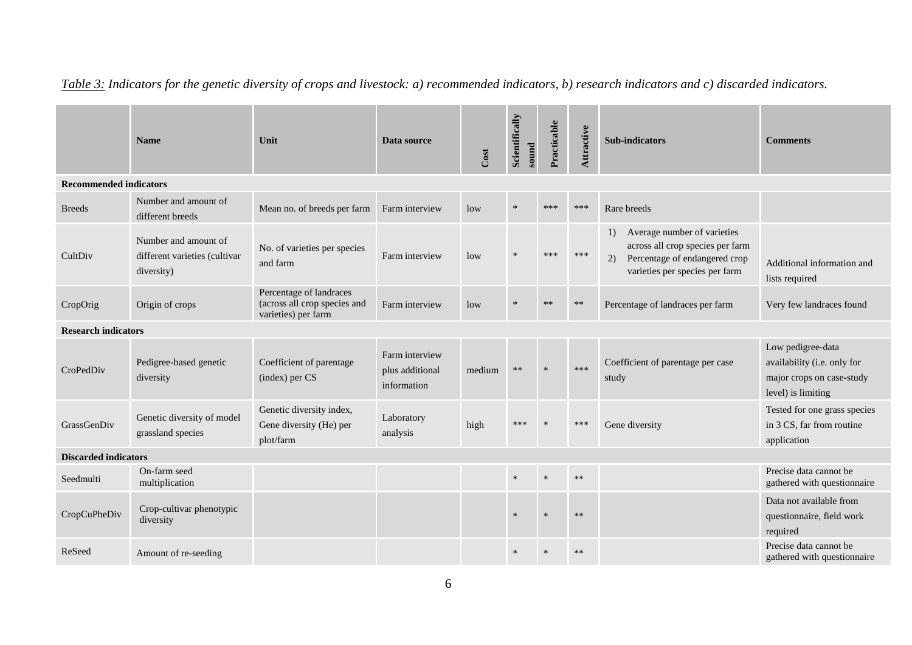|                               | <b>Name</b>                                                         | Unit                                                                           | Data source                                      | Cost   | Scientifically<br>sound | Practicable | Attractive | <b>Sub-indicators</b>                                                                                                                                        | <b>Comments</b>                                                                                     |
|-------------------------------|---------------------------------------------------------------------|--------------------------------------------------------------------------------|--------------------------------------------------|--------|-------------------------|-------------|------------|--------------------------------------------------------------------------------------------------------------------------------------------------------------|-----------------------------------------------------------------------------------------------------|
| <b>Recommended indicators</b> |                                                                     |                                                                                |                                                  |        |                         |             |            |                                                                                                                                                              |                                                                                                     |
| <b>Breeds</b>                 | Number and amount of<br>different breeds                            | Mean no. of breeds per farm                                                    | Farm interview                                   | low    | $\star$                 | $***$       | ***        | Rare breeds                                                                                                                                                  |                                                                                                     |
| CultDiv                       | Number and amount of<br>different varieties (cultivar<br>diversity) | No. of varieties per species<br>and farm                                       | Farm interview                                   | low    |                         |             | ***        | Average number of varieties<br>$\left( \right)$<br>across all crop species per farm<br>Percentage of endangered crop<br>2)<br>varieties per species per farm | Additional information and<br>lists required                                                        |
| CropOrig                      | Origin of crops                                                     | Percentage of landraces<br>(across all crop species and<br>varieties) per farm | Farm interview                                   | low    |                         |             | $**$       | Percentage of landraces per farm                                                                                                                             | Very few landraces found                                                                            |
| <b>Research indicators</b>    |                                                                     |                                                                                |                                                  |        |                         |             |            |                                                                                                                                                              |                                                                                                     |
| CroPedDiv                     | Pedigree-based genetic<br>diversity                                 | Coefficient of parentage<br>(index) per CS                                     | Farm interview<br>plus additional<br>information | medium | $***$                   | $\ast$      | ***        | Coefficient of parentage per case<br>study                                                                                                                   | Low pedigree-data<br>availability (i.e. only for<br>major crops on case-study<br>level) is limiting |
| GrassGenDiv                   | Genetic diversity of model<br>grassland species                     | Genetic diversity index,<br>Gene diversity (He) per<br>plot/farm               | Laboratory<br>analysis                           | high   | ***                     |             | ***        | Gene diversity                                                                                                                                               | Tested for one grass species<br>in 3 CS, far from routine<br>application                            |
| <b>Discarded indicators</b>   |                                                                     |                                                                                |                                                  |        |                         |             |            |                                                                                                                                                              |                                                                                                     |
| Seedmulti                     | On-farm seed<br>multiplication                                      |                                                                                |                                                  |        | $\ast$                  | $\ast$      | $**$       |                                                                                                                                                              | Precise data cannot be<br>gathered with questionnaire                                               |
| CropCuPheDiv                  | Crop-cultivar phenotypic<br>diversity                               |                                                                                |                                                  |        | $\ast$                  | $\ast$      | **         |                                                                                                                                                              | Data not available from<br>questionnaire, field work<br>required                                    |
| ReSeed                        | Amount of re-seeding                                                |                                                                                |                                                  |        |                         |             | $**$       |                                                                                                                                                              | Precise data cannot be<br>gathered with questionnaire                                               |

*Table 3: Indicators for the genetic diversity of crops and livestock: a) recommended indicators, b) research indicators and c) discarded indicators.*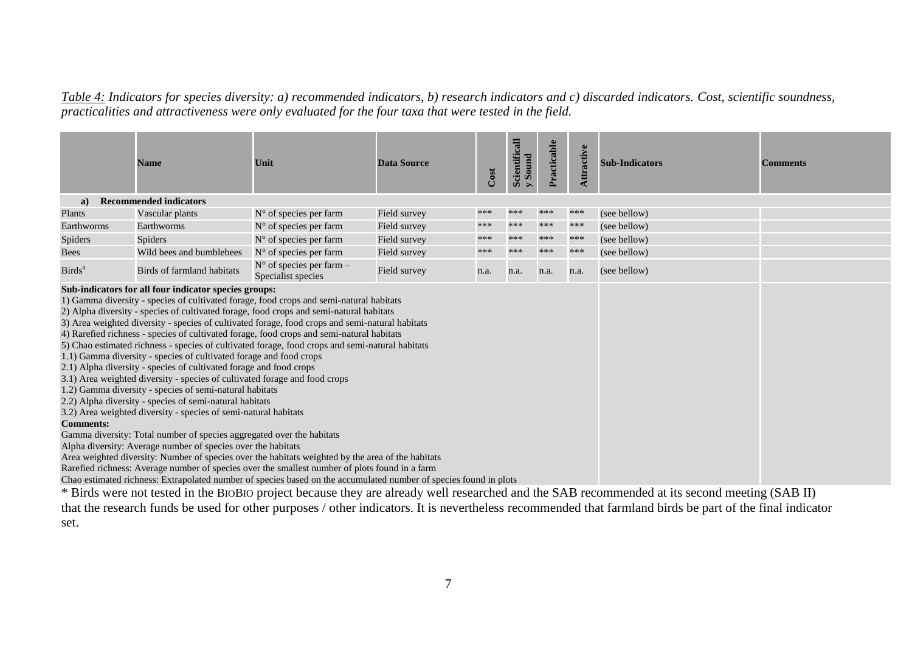*Table 4: Indicators for species diversity: a) recommended indicators, b) research indicators and c) discarded indicators. Cost, scientific soundness, practicalities and attractiveness were only evaluated for the four taxa that were tested in the field.*

|                    | <b>Name</b>                                                                                                                                                                                                                                                                                                                                                                                                                                                                                                                                                                                                       | Unit                                                                                                                                                                                                                                                                                                                                                                                                                                                                                                                                                                                                                                                                                         | <b>Data Source</b> | Cost | Scientificall<br>Sound<br>$\triangleright$ | Practicable | ttractive | <b>Sub-Indicators</b> | <b>Comments</b> |
|--------------------|-------------------------------------------------------------------------------------------------------------------------------------------------------------------------------------------------------------------------------------------------------------------------------------------------------------------------------------------------------------------------------------------------------------------------------------------------------------------------------------------------------------------------------------------------------------------------------------------------------------------|----------------------------------------------------------------------------------------------------------------------------------------------------------------------------------------------------------------------------------------------------------------------------------------------------------------------------------------------------------------------------------------------------------------------------------------------------------------------------------------------------------------------------------------------------------------------------------------------------------------------------------------------------------------------------------------------|--------------------|------|--------------------------------------------|-------------|-----------|-----------------------|-----------------|
| a)                 | <b>Recommended indicators</b>                                                                                                                                                                                                                                                                                                                                                                                                                                                                                                                                                                                     |                                                                                                                                                                                                                                                                                                                                                                                                                                                                                                                                                                                                                                                                                              |                    |      |                                            |             |           |                       |                 |
| Plants             | Vascular plants                                                                                                                                                                                                                                                                                                                                                                                                                                                                                                                                                                                                   | $N°$ of species per farm                                                                                                                                                                                                                                                                                                                                                                                                                                                                                                                                                                                                                                                                     | Field survey       | ***  | ***                                        | ***         | ***       | (see bellow)          |                 |
| Earthworms         | Earthworms                                                                                                                                                                                                                                                                                                                                                                                                                                                                                                                                                                                                        | $N^{\circ}$ of species per farm                                                                                                                                                                                                                                                                                                                                                                                                                                                                                                                                                                                                                                                              | Field survey       | ***  | ***                                        | ***         | ***       | (see bellow)          |                 |
| <b>Spiders</b>     | Spiders                                                                                                                                                                                                                                                                                                                                                                                                                                                                                                                                                                                                           | $N^{\circ}$ of species per farm                                                                                                                                                                                                                                                                                                                                                                                                                                                                                                                                                                                                                                                              | Field survey       | ***  | ***                                        | ***         | ***       | (see bellow)          |                 |
| <b>Bees</b>        | Wild bees and bumblebees                                                                                                                                                                                                                                                                                                                                                                                                                                                                                                                                                                                          | $N^{\circ}$ of species per farm                                                                                                                                                                                                                                                                                                                                                                                                                                                                                                                                                                                                                                                              | Field survey       | ***  | ***                                        | ***         | ***       | (see bellow)          |                 |
| Birds <sup>a</sup> | Birds of farmland habitats                                                                                                                                                                                                                                                                                                                                                                                                                                                                                                                                                                                        | $N^{\circ}$ of species per farm -<br>Specialist species                                                                                                                                                                                                                                                                                                                                                                                                                                                                                                                                                                                                                                      | Field survey       | n.a. | n.a.                                       | n.a.        | n.a.      | (see bellow)          |                 |
| <b>Comments:</b>   | Sub-indicators for all four indicator species groups:<br>1.1) Gamma diversity - species of cultivated forage and food crops<br>2.1) Alpha diversity - species of cultivated forage and food crops<br>3.1) Area weighted diversity - species of cultivated forage and food crops<br>1.2) Gamma diversity - species of semi-natural habitats<br>2.2) Alpha diversity - species of semi-natural habitats<br>3.2) Area weighted diversity - species of semi-natural habitats<br>Gamma diversity: Total number of species aggregated over the habitats<br>Alpha diversity: Average number of species over the habitats | 1) Gamma diversity - species of cultivated forage, food crops and semi-natural habitats<br>2) Alpha diversity - species of cultivated forage, food crops and semi-natural habitats<br>3) Area weighted diversity - species of cultivated forage, food crops and semi-natural habitats<br>4) Rarefied richness - species of cultivated forage, food crops and semi-natural habitats<br>5) Chao estimated richness - species of cultivated forage, food crops and semi-natural habitats<br>Area weighted diversity: Number of species over the habitats weighted by the area of the habitats<br>Rarefied richness: Average number of species over the smallest number of plots found in a farm |                    |      |                                            |             |           |                       |                 |
|                    |                                                                                                                                                                                                                                                                                                                                                                                                                                                                                                                                                                                                                   | Chao estimated richness: Extrapolated number of species based on the accumulated number of species found in plots                                                                                                                                                                                                                                                                                                                                                                                                                                                                                                                                                                            |                    |      |                                            |             |           |                       |                 |

\* Birds were not tested in the BIOBIO project because they are already well researched and the SAB recommended at its second meeting (SAB II) that the research funds be used for other purposes / other indicators. It is nevertheless recommended that farmland birds be part of the final indicator set.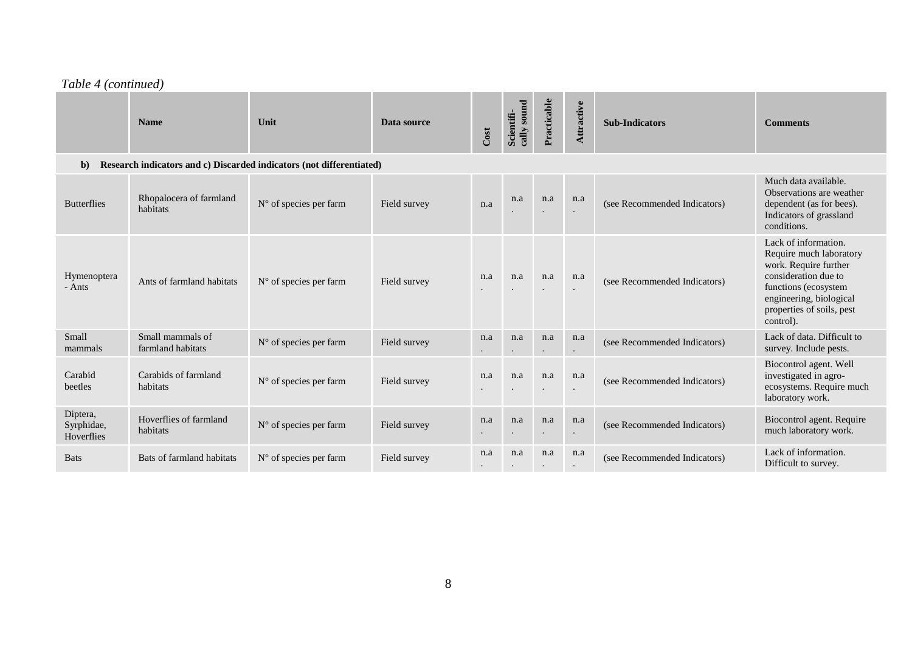#### *Table 4 (continued)*

|                                                                                      | <b>Name</b>                           | Unit                            | Data source  | Cost     | cally sound<br>Scientifi- | Practicable      | Attractive       | <b>Sub-Indicators</b>        | <b>Comments</b>                                                                                                                                                                               |  |  |
|--------------------------------------------------------------------------------------|---------------------------------------|---------------------------------|--------------|----------|---------------------------|------------------|------------------|------------------------------|-----------------------------------------------------------------------------------------------------------------------------------------------------------------------------------------------|--|--|
| Research indicators and c) Discarded indicators (not differentiated)<br>$\mathbf{b}$ |                                       |                                 |              |          |                           |                  |                  |                              |                                                                                                                                                                                               |  |  |
| <b>Butterflies</b>                                                                   | Rhopalocera of farmland<br>habitats   | $N^{\circ}$ of species per farm | Field survey | n.a      | n.a                       | n.a              | n.a              | (see Recommended Indicators) | Much data available.<br>Observations are weather<br>dependent (as for bees).<br>Indicators of grassland<br>conditions.                                                                        |  |  |
| Hymenoptera<br>- Ants                                                                | Ants of farmland habitats             | $N^{\circ}$ of species per farm | Field survey | n.a      | n.a                       | n.a              | n.a              | (see Recommended Indicators) | Lack of information.<br>Require much laboratory<br>work. Require further<br>consideration due to<br>functions (ecosystem<br>engineering, biological<br>properties of soils, pest<br>control). |  |  |
| Small<br>mammals                                                                     | Small mammals of<br>farmland habitats | N° of species per farm          | Field survey | n.a      | n.a<br>$\bullet$          | n.a              | n.a              | (see Recommended Indicators) | Lack of data. Difficult to<br>survey. Include pests.                                                                                                                                          |  |  |
| Carabid<br>beetles                                                                   | Carabids of farmland<br>habitats      | N° of species per farm          | Field survey | n.a      | n.a                       | n.a              | n.a              | (see Recommended Indicators) | Biocontrol agent. Well<br>investigated in agro-<br>ecosystems. Require much<br>laboratory work.                                                                                               |  |  |
| Diptera,<br>Syrphidae,<br>Hoverflies                                                 | Hoverflies of farmland<br>habitats    | N° of species per farm          | Field survey | n.a      | n.a                       | n.a              | n.a              | (see Recommended Indicators) | Biocontrol agent. Require<br>much laboratory work.                                                                                                                                            |  |  |
| <b>Bats</b>                                                                          | Bats of farmland habitats             | N° of species per farm          | Field survey | n.a<br>٠ | n.a                       | n.a<br>$\bullet$ | n.a<br>$\bullet$ | (see Recommended Indicators) | Lack of information.<br>Difficult to survey.                                                                                                                                                  |  |  |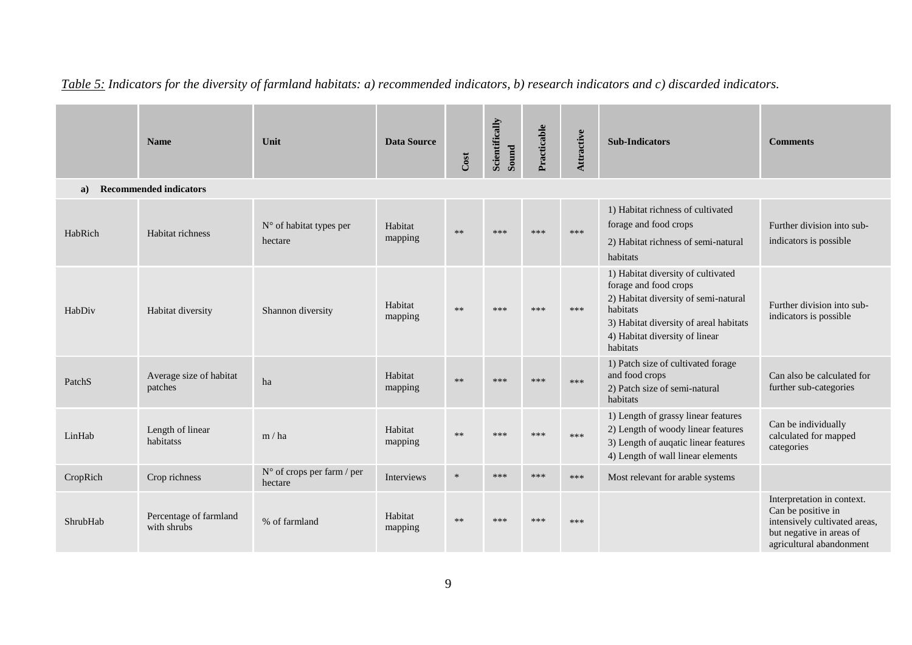|          | <b>Name</b>                           | Unit                                  | <b>Data Source</b> | Cost   | Scientifically<br>Sound | Practicable | Attractive | <b>Sub-Indicators</b>                                                                                                                                                                                   | <b>Comments</b>                                                                                                                           |
|----------|---------------------------------------|---------------------------------------|--------------------|--------|-------------------------|-------------|------------|---------------------------------------------------------------------------------------------------------------------------------------------------------------------------------------------------------|-------------------------------------------------------------------------------------------------------------------------------------------|
| a)       | <b>Recommended indicators</b>         |                                       |                    |        |                         |             |            |                                                                                                                                                                                                         |                                                                                                                                           |
| HabRich  | Habitat richness                      | N° of habitat types per<br>hectare    | Habitat<br>mapping | $**$   | ***                     | ***         | ***        | 1) Habitat richness of cultivated<br>forage and food crops<br>2) Habitat richness of semi-natural<br>habitats                                                                                           | Further division into sub-<br>indicators is possible                                                                                      |
| HabDiv   | Habitat diversity                     | Shannon diversity                     | Habitat<br>mapping | $**$   | ***                     | ***         | ***        | 1) Habitat diversity of cultivated<br>forage and food crops<br>2) Habitat diversity of semi-natural<br>habitats<br>3) Habitat diversity of areal habitats<br>4) Habitat diversity of linear<br>habitats | Further division into sub-<br>indicators is possible                                                                                      |
| PatchS   | Average size of habitat<br>patches    | ha                                    | Habitat<br>mapping | $**$   | ***                     | ***         | ***        | 1) Patch size of cultivated forage<br>and food crops<br>2) Patch size of semi-natural<br>habitats                                                                                                       | Can also be calculated for<br>further sub-categories                                                                                      |
| LinHab   | Length of linear<br>habitatss         | m/ha                                  | Habitat<br>mapping | $**$   | $****$                  | ***         | ***        | 1) Length of grassy linear features<br>2) Length of woody linear features<br>3) Length of augatic linear features<br>4) Length of wall linear elements                                                  | Can be individually<br>calculated for mapped<br>categories                                                                                |
| CropRich | Crop richness                         | N° of crops per farm / per<br>hectare | Interviews         | $\ast$ | ***                     | ***         | ***        | Most relevant for arable systems                                                                                                                                                                        |                                                                                                                                           |
| ShrubHab | Percentage of farmland<br>with shrubs | % of farmland                         | Habitat<br>mapping | $**$   | ***                     | ***         | ***        |                                                                                                                                                                                                         | Interpretation in context.<br>Can be positive in<br>intensively cultivated areas,<br>but negative in areas of<br>agricultural abandonment |

# *Table 5: Indicators for the diversity of farmland habitats: a) recommended indicators, b) research indicators and c) discarded indicators.*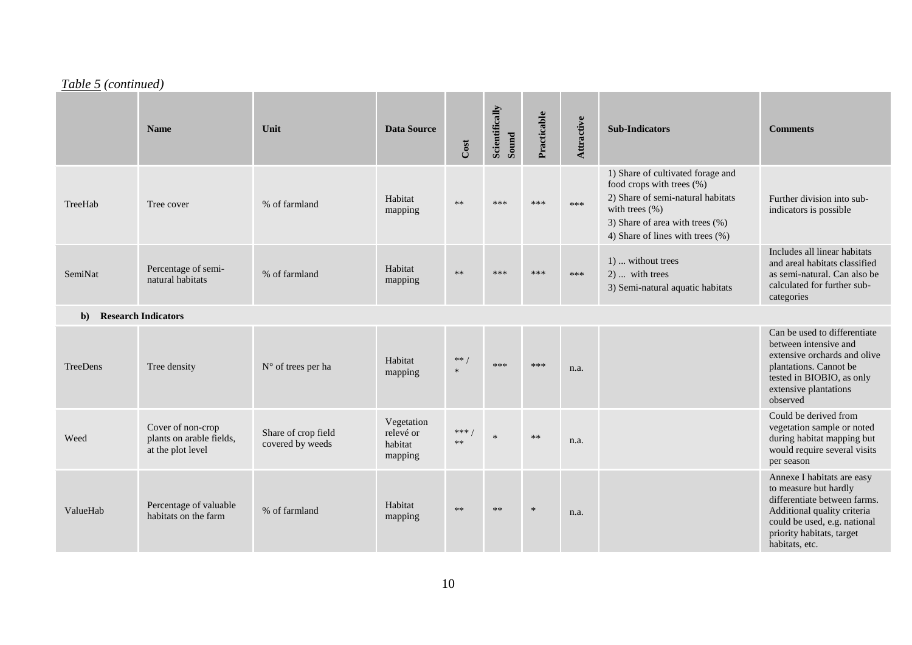# *Table 5 (continued)*

|              | <b>Name</b>                                                        | Unit                                    | <b>Data Source</b>                            | Cost           | Scientifically<br>Sound | Practicable | Attractive | <b>Sub-Indicators</b>                                                                                                                                                                            | <b>Comments</b>                                                                                                                                                                                   |
|--------------|--------------------------------------------------------------------|-----------------------------------------|-----------------------------------------------|----------------|-------------------------|-------------|------------|--------------------------------------------------------------------------------------------------------------------------------------------------------------------------------------------------|---------------------------------------------------------------------------------------------------------------------------------------------------------------------------------------------------|
| TreeHab      | Tree cover                                                         | % of farmland                           | Habitat<br>mapping                            | $**$           | ***                     | ***         | ***        | 1) Share of cultivated forage and<br>food crops with trees (%)<br>2) Share of semi-natural habitats<br>with trees $(\% )$<br>3) Share of area with trees (%)<br>4) Share of lines with trees (%) | Further division into sub-<br>indicators is possible                                                                                                                                              |
| SemiNat      | Percentage of semi-<br>natural habitats                            | % of farmland                           | Habitat<br>mapping                            | $**$           | ***                     | ***         | ***        | 1)  without trees<br>$2)$ with trees<br>3) Semi-natural aquatic habitats                                                                                                                         | Includes all linear habitats<br>and areal habitats classified<br>as semi-natural. Can also be<br>calculated for further sub-<br>categories                                                        |
| $\mathbf{b}$ | <b>Research Indicators</b>                                         |                                         |                                               |                |                         |             |            |                                                                                                                                                                                                  |                                                                                                                                                                                                   |
| TreeDens     | Tree density                                                       | $N^{\circ}$ of trees per ha             | Habitat<br>mapping                            | ** /<br>$\ast$ | ***                     | ***         | n.a.       |                                                                                                                                                                                                  | Can be used to differentiate<br>between intensive and<br>extensive orchards and olive<br>plantations. Cannot be<br>tested in BIOBIO, as only<br>extensive plantations<br>observed                 |
| Weed         | Cover of non-crop<br>plants on arable fields,<br>at the plot level | Share of crop field<br>covered by weeds | Vegetation<br>relevé or<br>habitat<br>mapping | ***<br>$***$   | $\ast$                  | $**$        | n.a.       |                                                                                                                                                                                                  | Could be derived from<br>vegetation sample or noted<br>during habitat mapping but<br>would require several visits<br>per season                                                                   |
| ValueHab     | Percentage of valuable<br>habitats on the farm                     | % of farmland                           | Habitat<br>mapping                            | $**$           | $**$                    | $\ast$      | n.a.       |                                                                                                                                                                                                  | Annexe I habitats are easy<br>to measure but hardly<br>differentiate between farms.<br>Additional quality criteria<br>could be used, e.g. national<br>priority habitats, target<br>habitats, etc. |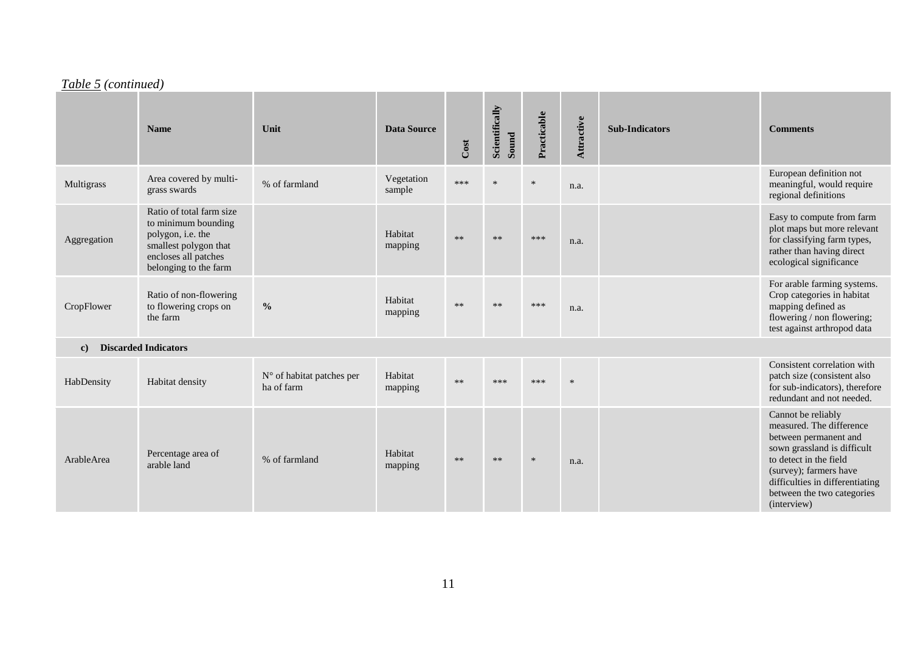## *Table 5 (continued)*

|              | <b>Name</b>                                                                                                                                    | Unit                                    | <b>Data Source</b>   | Cost | Scientifically<br>Sound | Practicable | Attractive | <b>Sub-Indicators</b> | <b>Comments</b>                                                                                                                                                                                                                            |
|--------------|------------------------------------------------------------------------------------------------------------------------------------------------|-----------------------------------------|----------------------|------|-------------------------|-------------|------------|-----------------------|--------------------------------------------------------------------------------------------------------------------------------------------------------------------------------------------------------------------------------------------|
| Multigrass   | Area covered by multi-<br>grass swards                                                                                                         | % of farmland                           | Vegetation<br>sample | ***  | $\ast$                  |             | n.a.       |                       | European definition not<br>meaningful, would require<br>regional definitions                                                                                                                                                               |
| Aggregation  | Ratio of total farm size<br>to minimum bounding<br>polygon, i.e. the<br>smallest polygon that<br>encloses all patches<br>belonging to the farm |                                         | Habitat<br>mapping   | $**$ | $**$                    | ***         | n.a.       |                       | Easy to compute from farm<br>plot maps but more relevant<br>for classifying farm types,<br>rather than having direct<br>ecological significance                                                                                            |
| CropFlower   | Ratio of non-flowering<br>to flowering crops on<br>the farm                                                                                    | $\frac{0}{0}$                           | Habitat<br>mapping   | $**$ | $**$                    | ***         | n.a.       |                       | For arable farming systems.<br>Crop categories in habitat<br>mapping defined as<br>flowering / non flowering;<br>test against arthropod data                                                                                               |
| $\mathbf{c}$ | <b>Discarded Indicators</b>                                                                                                                    |                                         |                      |      |                         |             |            |                       |                                                                                                                                                                                                                                            |
| HabDensity   | Habitat density                                                                                                                                | N° of habitat patches per<br>ha of farm | Habitat<br>mapping   | $**$ | ***                     | ***         |            |                       | Consistent correlation with<br>patch size (consistent also<br>for sub-indicators), therefore<br>redundant and not needed.                                                                                                                  |
| ArableArea   | Percentage area of<br>arable land                                                                                                              | % of farmland                           | Habitat<br>mapping   | $**$ | $**$                    | $\ast$      | n.a.       |                       | Cannot be reliably<br>measured. The difference<br>between permanent and<br>sown grassland is difficult<br>to detect in the field<br>(survey); farmers have<br>difficulties in differentiating<br>between the two categories<br>(interview) |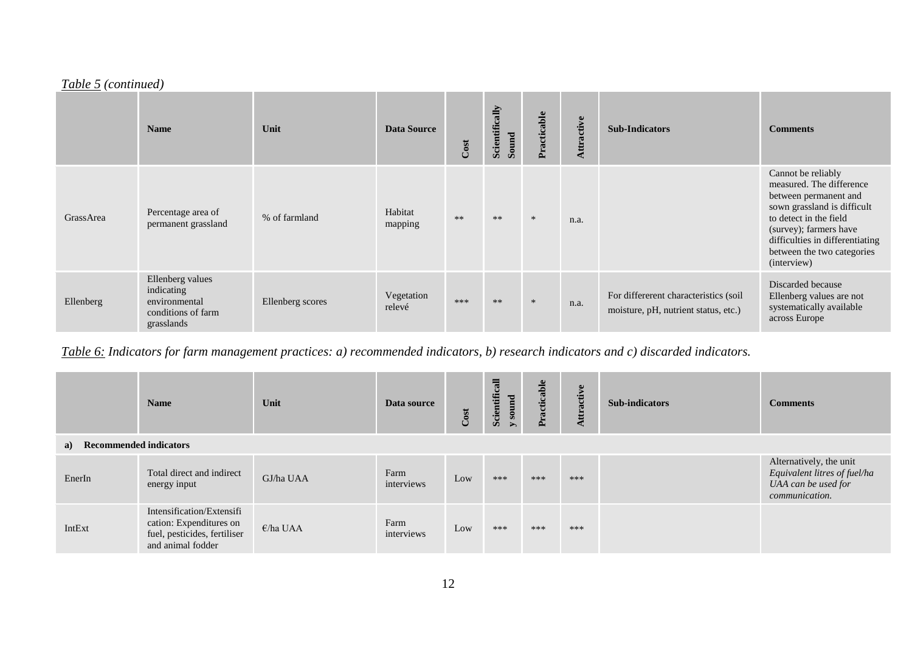### *Table 5 (continued)*

|           | <b>Name</b>                                                                         | Unit             | <b>Data Source</b>   | Cost | Scientifically<br>Sound | Practicable | Attractive | <b>Sub-Indicators</b>                                                         | <b>Comments</b>                                                                                                                                                                                                                            |
|-----------|-------------------------------------------------------------------------------------|------------------|----------------------|------|-------------------------|-------------|------------|-------------------------------------------------------------------------------|--------------------------------------------------------------------------------------------------------------------------------------------------------------------------------------------------------------------------------------------|
| GrassArea | Percentage area of<br>permanent grassland                                           | % of farmland    | Habitat<br>mapping   | $**$ | $**$                    | $\ast$      | n.a.       |                                                                               | Cannot be reliably<br>measured. The difference<br>between permanent and<br>sown grassland is difficult<br>to detect in the field<br>(survey); farmers have<br>difficulties in differentiating<br>between the two categories<br>(interview) |
| Ellenberg | Ellenberg values<br>indicating<br>environmental<br>conditions of farm<br>grasslands | Ellenberg scores | Vegetation<br>relevé | ***  | $**$                    | $\ast$      | n.a.       | For differerent characteristics (soil<br>moisture, pH, nutrient status, etc.) | Discarded because<br>Ellenberg values are not<br>systematically available<br>across Europe                                                                                                                                                 |

*Table 6: Indicators for farm management practices: a) recommended indicators, b) research indicators and c) discarded indicators.*

|                           | <b>Name</b>                                                                                               | Unit      | Data source        | Cost | Scientificall<br>y sound | Practicable | ttractive | <b>Sub-indicators</b> | <b>Comments</b>                                                                                  |  |  |
|---------------------------|-----------------------------------------------------------------------------------------------------------|-----------|--------------------|------|--------------------------|-------------|-----------|-----------------------|--------------------------------------------------------------------------------------------------|--|--|
| a) Recommended indicators |                                                                                                           |           |                    |      |                          |             |           |                       |                                                                                                  |  |  |
| EnerIn                    | Total direct and indirect<br>energy input                                                                 | GJ/ha UAA | Farm<br>interviews | Low  | ***                      | ***         | ***       |                       | Alternatively, the unit<br>Equivalent litres of fuel/ha<br>UAA can be used for<br>communication. |  |  |
| IntExt                    | Intensification/Extensifi<br>cation: Expenditures on<br>fuel, pesticides, fertiliser<br>and animal fodder | E/ha UAA  | Farm<br>interviews | Low  | ***                      | ***         | ***       |                       |                                                                                                  |  |  |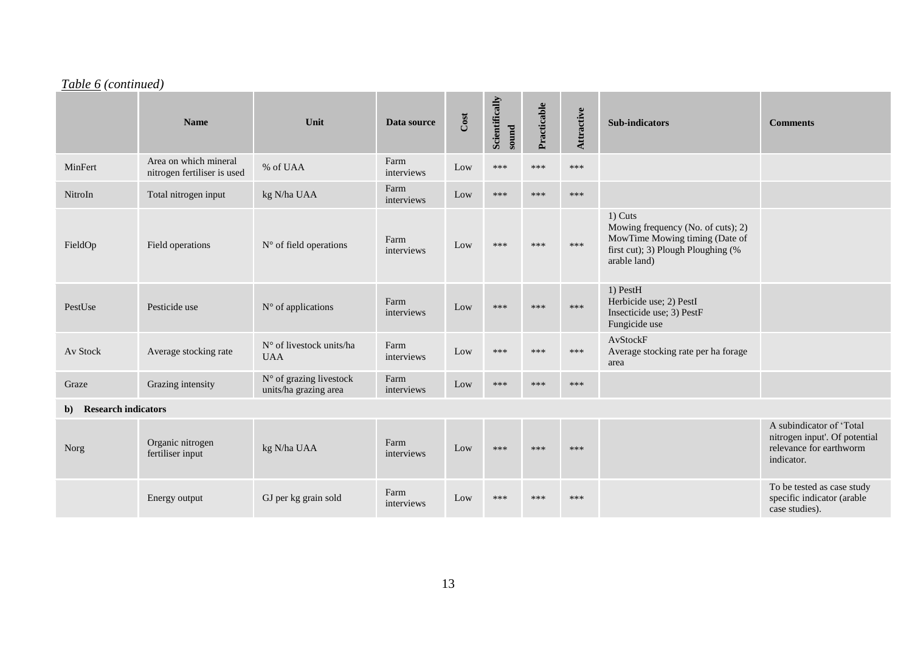# *Table 6 (continued)*

|                                  | <b>Name</b>                                          | Unit                                             | Data source        | Cost | Scientifically<br>sound | Practicable | Attractive | <b>Sub-indicators</b>                                                                                                                   | <b>Comments</b>                                           |
|----------------------------------|------------------------------------------------------|--------------------------------------------------|--------------------|------|-------------------------|-------------|------------|-----------------------------------------------------------------------------------------------------------------------------------------|-----------------------------------------------------------|
| MinFert                          | Area on which mineral<br>nitrogen fertiliser is used | % of UAA                                         | Farm<br>interviews | Low  | ***                     | ***         | ***        |                                                                                                                                         |                                                           |
| NitroIn                          | Total nitrogen input                                 | kg N/ha UAA                                      | Farm<br>interviews | Low  | ***                     | ***         | ***        |                                                                                                                                         |                                                           |
| FieldOp                          | Field operations                                     | $N^{\circ}$ of field operations                  | Farm<br>interviews | Low  | ***                     | ***         | ***        | $1)$ Cuts<br>Mowing frequency (No. of cuts); 2)<br>MowTime Mowing timing (Date of<br>first cut); 3) Plough Ploughing (%<br>arable land) |                                                           |
| PestUse                          | Pesticide use                                        | $N°$ of applications                             | Farm<br>interviews | Low  | ***                     | ***         | ***        | 1) PestH<br>Herbicide use; 2) PestI<br>Insecticide use; 3) PestF<br>Fungicide use                                                       |                                                           |
| Av Stock                         | Average stocking rate                                | N° of livestock units/ha<br><b>UAA</b>           | Farm<br>interviews | Low  | ***                     | ***         | ***        | AvStockF<br>Average stocking rate per ha forage<br>area                                                                                 |                                                           |
| Graze                            | Grazing intensity                                    | N° of grazing livestock<br>units/ha grazing area | Farm<br>interviews | Low  | ***                     | ***         | ***        |                                                                                                                                         |                                                           |
| <b>Research indicators</b><br>b) |                                                      |                                                  |                    |      |                         |             |            |                                                                                                                                         |                                                           |
|                                  | $\sim$ $\sim$ $\sim$ $\sim$                          |                                                  | $\mathbf{r}$       |      |                         |             |            |                                                                                                                                         | A subindicator of 'Total<br>nitrogen input'. Of potential |

| Norg | Organic nitrogen<br>fertiliser input | kg N/ha UAA          | Farm<br>interviews | Low | *** | *** | *** | A subhiqiqatol ol Total<br>nitrogen input'. Of potential<br>relevance for earthworm<br>indicator. |
|------|--------------------------------------|----------------------|--------------------|-----|-----|-----|-----|---------------------------------------------------------------------------------------------------|
|      | Energy output                        | GJ per kg grain sold | Farm<br>interviews | Low | *** | *** | *** | To be tested as case study<br>specific indicator (arable<br>case studies).                        |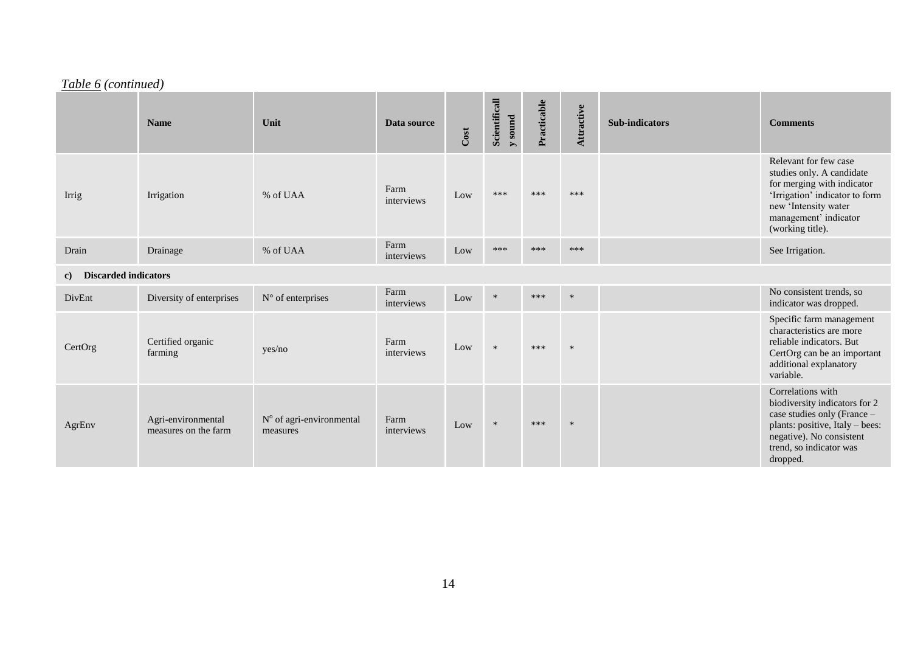## *Table 6 (continued)*

|                                   | <b>Name</b>                                | Unit                                 | Data source        | Cost | Scientificall<br>y sound | Practicable | Attractive | <b>Sub-indicators</b> | <b>Comments</b>                                                                                                                                                                         |
|-----------------------------------|--------------------------------------------|--------------------------------------|--------------------|------|--------------------------|-------------|------------|-----------------------|-----------------------------------------------------------------------------------------------------------------------------------------------------------------------------------------|
| Irrig                             | Irrigation                                 | % of UAA                             | Farm<br>interviews | Low  | ***                      | ***         | ***        |                       | Relevant for few case<br>studies only. A candidate<br>for merging with indicator<br>'Irrigation' indicator to form<br>new 'Intensity water<br>management' indicator<br>(working title). |
| Drain                             | Drainage                                   | % of UAA                             | Farm<br>interviews | Low  | ***                      | ***         | ***        |                       | See Irrigation.                                                                                                                                                                         |
| <b>Discarded indicators</b><br>c) |                                            |                                      |                    |      |                          |             |            |                       |                                                                                                                                                                                         |
| DivEnt                            | Diversity of enterprises                   | $N^{\circ}$ of enterprises           | Farm<br>interviews | Low  | $\ast$                   | ***         | $\ast$     |                       | No consistent trends, so<br>indicator was dropped.                                                                                                                                      |
| CertOrg                           | Certified organic<br>farming               | yes/no                               | Farm<br>interviews | Low  | $\ast$                   | ***         | $\ast$     |                       | Specific farm management<br>characteristics are more<br>reliable indicators. But<br>CertOrg can be an important<br>additional explanatory<br>variable.                                  |
| AgrEnv                            | Agri-environmental<br>measures on the farm | N° of agri-environmental<br>measures | Farm<br>interviews | Low  | $\ast$                   | ***         | $\ast$     |                       | Correlations with<br>biodiversity indicators for 2<br>case studies only (France -<br>plants: positive, Italy - bees:<br>negative). No consistent<br>trend, so indicator was<br>dropped. |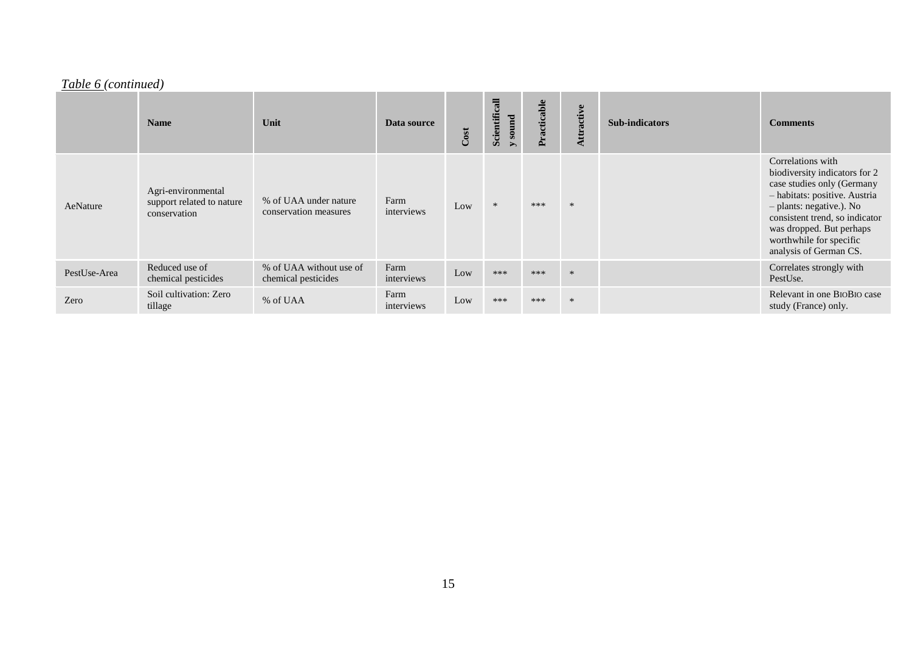# *Table 6 (continued)*

|              | <b>Name</b>                                                     | Unit                                           | Data source        | Cost | Scientificall<br>y sound | Practicable | Attractive | <b>Sub-indicators</b> | <b>Comments</b>                                                                                                                                                                                                                                                  |
|--------------|-----------------------------------------------------------------|------------------------------------------------|--------------------|------|--------------------------|-------------|------------|-----------------------|------------------------------------------------------------------------------------------------------------------------------------------------------------------------------------------------------------------------------------------------------------------|
| AeNature     | Agri-environmental<br>support related to nature<br>conservation | % of UAA under nature<br>conservation measures | Farm<br>interviews | Low  |                          | ***         | $\ast$     |                       | Correlations with<br>biodiversity indicators for 2<br>case studies only (Germany<br>- habitats: positive. Austria<br>- plants: negative.). No<br>consistent trend, so indicator<br>was dropped. But perhaps<br>worthwhile for specific<br>analysis of German CS. |
| PestUse-Area | Reduced use of<br>chemical pesticides                           | % of UAA without use of<br>chemical pesticides | Farm<br>interviews | Low  | ***                      | ***         | $\ast$     |                       | Correlates strongly with<br>PestUse.                                                                                                                                                                                                                             |
| Zero         | Soil cultivation: Zero<br>tillage                               | % of UAA                                       | Farm<br>interviews | Low  | ***                      | ***         | $\ast$     |                       | Relevant in one BIOBIO case<br>study (France) only.                                                                                                                                                                                                              |